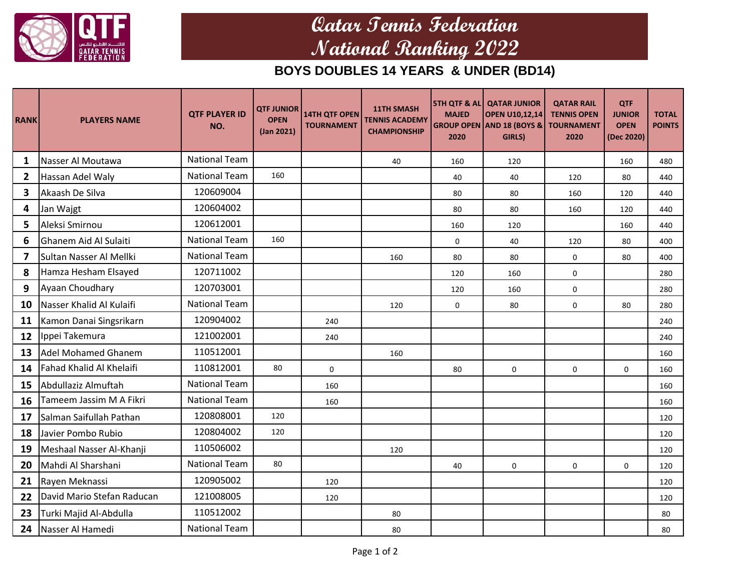

## **Qatar Tennis Federation National Ranking 2022**

## **BOYS DOUBLES 14 YEARS & UNDER (BD14)**

| <b>RANK</b>             | <b>PLAYERS NAME</b>        | <b>QTF PLAYER ID</b><br>NO. | <b>QTF JUNIOR</b><br><b>OPEN</b><br>(Jan 2021) | <b>14TH QTF OPEN</b><br><b>TOURNAMENT</b> | <b>11TH SMASH</b><br><b>TENNIS ACADEMY</b><br><b>CHAMPIONSHIP</b> | <b>MAJED</b><br>2020 | <b>5TH QTF &amp; AL QATAR JUNIOR</b><br><b>OPEN U10,12,14</b><br><b>GROUP OPEN AND 18 (BOYS &amp;</b><br>GIRLS) | <b>QATAR RAIL</b><br><b>TENNIS OPEN</b><br><b>TOURNAMENT</b><br>2020 | QTF<br><b>JUNIOR</b><br><b>OPEN</b><br>(Dec 2020) | <b>TOTAL</b><br><b>POINTS</b> |
|-------------------------|----------------------------|-----------------------------|------------------------------------------------|-------------------------------------------|-------------------------------------------------------------------|----------------------|-----------------------------------------------------------------------------------------------------------------|----------------------------------------------------------------------|---------------------------------------------------|-------------------------------|
| 1                       | Nasser Al Moutawa          | <b>National Team</b>        |                                                |                                           | 40                                                                | 160                  | 120                                                                                                             |                                                                      | 160                                               | 480                           |
| $\overline{2}$          | Hassan Adel Waly           | <b>National Team</b>        | 160                                            |                                           |                                                                   | 40                   | 40                                                                                                              | 120                                                                  | 80                                                | 440                           |
| 3                       | Akaash De Silva            | 120609004                   |                                                |                                           |                                                                   | 80                   | 80                                                                                                              | 160                                                                  | 120                                               | 440                           |
| 4                       | Jan Wajgt                  | 120604002                   |                                                |                                           |                                                                   | 80                   | 80                                                                                                              | 160                                                                  | 120                                               | 440                           |
| 5                       | Aleksi Smirnou             | 120612001                   |                                                |                                           |                                                                   | 160                  | 120                                                                                                             |                                                                      | 160                                               | 440                           |
| 6                       | Ghanem Aid Al Sulaiti      | <b>National Team</b>        | 160                                            |                                           |                                                                   | $\mathbf 0$          | 40                                                                                                              | 120                                                                  | 80                                                | 400                           |
| $\overline{\mathbf{z}}$ | Sultan Nasser Al Mellki    | <b>National Team</b>        |                                                |                                           | 160                                                               | 80                   | 80                                                                                                              | $\mathbf 0$                                                          | 80                                                | 400                           |
| 8                       | Hamza Hesham Elsayed       | 120711002                   |                                                |                                           |                                                                   | 120                  | 160                                                                                                             | $\mathbf 0$                                                          |                                                   | 280                           |
| 9                       | Ayaan Choudhary            | 120703001                   |                                                |                                           |                                                                   | 120                  | 160                                                                                                             | $\mathbf 0$                                                          |                                                   | 280                           |
| 10                      | Nasser Khalid Al Kulaifi   | <b>National Team</b>        |                                                |                                           | 120                                                               | $\mathbf 0$          | 80                                                                                                              | $\mathbf 0$                                                          | 80                                                | 280                           |
| 11                      | Kamon Danai Singsrikarn    | 120904002                   |                                                | 240                                       |                                                                   |                      |                                                                                                                 |                                                                      |                                                   | 240                           |
| 12                      | Ippei Takemura             | 121002001                   |                                                | 240                                       |                                                                   |                      |                                                                                                                 |                                                                      |                                                   | 240                           |
| 13                      | <b>Adel Mohamed Ghanem</b> | 110512001                   |                                                |                                           | 160                                                               |                      |                                                                                                                 |                                                                      |                                                   | 160                           |
| 14                      | Fahad Khalid Al Khelaifi   | 110812001                   | 80                                             | $\mathbf 0$                               |                                                                   | 80                   | $\mathsf{O}$                                                                                                    | $\pmb{0}$                                                            | $\mathsf{O}$                                      | 160                           |
| 15                      | Abdullaziz Almuftah        | <b>National Team</b>        |                                                | 160                                       |                                                                   |                      |                                                                                                                 |                                                                      |                                                   | 160                           |
| 16                      | Tameem Jassim M A Fikri    | <b>National Team</b>        |                                                | 160                                       |                                                                   |                      |                                                                                                                 |                                                                      |                                                   | 160                           |
| 17                      | Salman Saifullah Pathan    | 120808001                   | 120                                            |                                           |                                                                   |                      |                                                                                                                 |                                                                      |                                                   | 120                           |
| 18                      | Javier Pombo Rubio         | 120804002                   | 120                                            |                                           |                                                                   |                      |                                                                                                                 |                                                                      |                                                   | 120                           |
| 19                      | Meshaal Nasser Al-Khanji   | 110506002                   |                                                |                                           | 120                                                               |                      |                                                                                                                 |                                                                      |                                                   | 120                           |
| 20                      | Mahdi Al Sharshani         | <b>National Team</b>        | 80                                             |                                           |                                                                   | 40                   | 0                                                                                                               | $\Omega$                                                             | 0                                                 | 120                           |
| 21                      | Rayen Meknassi             | 120905002                   |                                                | 120                                       |                                                                   |                      |                                                                                                                 |                                                                      |                                                   | 120                           |
| 22                      | David Mario Stefan Raducan | 121008005                   |                                                | 120                                       |                                                                   |                      |                                                                                                                 |                                                                      |                                                   | 120                           |
| 23                      | Turki Majid Al-Abdulla     | 110512002                   |                                                |                                           | 80                                                                |                      |                                                                                                                 |                                                                      |                                                   | 80                            |
| 24                      | Nasser Al Hamedi           | <b>National Team</b>        |                                                |                                           | 80                                                                |                      |                                                                                                                 |                                                                      |                                                   | 80                            |